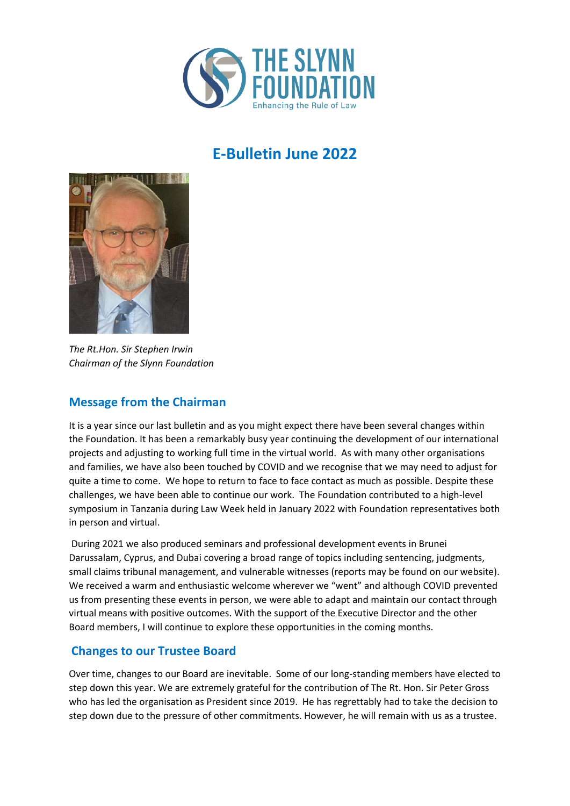

# **E-Bulletin June 2022**



*The Rt.Hon. Sir Stephen Irwin Chairman of the Slynn Foundation* 

#### **Message from the Chairman**

It is a year since our last bulletin and as you might expect there have been several changes within the Foundation. It has been a remarkably busy year continuing the development of our international projects and adjusting to working full time in the virtual world. As with many other organisations and families, we have also been touched by COVID and we recognise that we may need to adjust for quite a time to come. We hope to return to face to face contact as much as possible. Despite these challenges, we have been able to continue our work. The Foundation contributed to a high-level symposium in Tanzania during Law Week held in January 2022 with Foundation representatives both in person and virtual.

During 2021 we also produced seminars and professional development events in Brunei Darussalam, Cyprus, and Dubai covering a broad range of topics including sentencing, judgments, small claims tribunal management, and vulnerable witnesses (reports may be found on our website). We received a warm and enthusiastic welcome wherever we "went" and although COVID prevented us from presenting these events in person, we were able to adapt and maintain our contact through virtual means with positive outcomes. With the support of the Executive Director and the other Board members, I will continue to explore these opportunities in the coming months.

#### **Changes to our Trustee Board**

Over time, changes to our Board are inevitable. Some of our long-standing members have elected to step down this year. We are extremely grateful for the contribution of The Rt. Hon. Sir Peter Gross who has led the organisation as President since 2019. He has regrettably had to take the decision to step down due to the pressure of other commitments. However, he will remain with us as a trustee.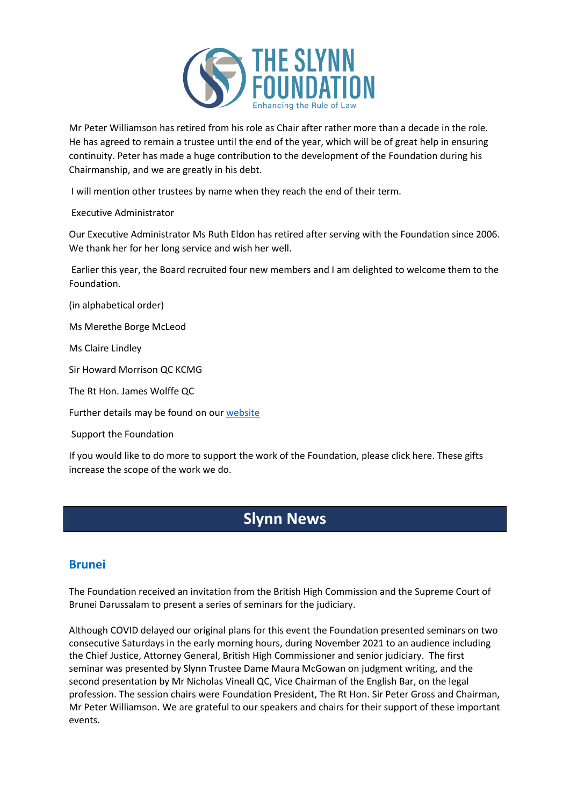

Mr Peter Williamson has retired from his role as Chair after rather more than a decade in the role. He has agreed to remain a trustee until the end of the year, which will be of great help in ensuring continuity. Peter has made a huge contribution to the development of the Foundation during his Chairmanship, and we are greatly in his debt.

I will mention other trustees by name when they reach the end of their term.

#### Executive Administrator

Our Executive Administrator Ms Ruth Eldon has retired after serving with the Foundation since 2006. We thank her for her long service and wish her well.

Earlier this year, the Board recruited four new members and I am delighted to welcome them to the Foundation.

(in alphabetical order)

Ms Merethe Borge McLeod

Ms Claire Lindley

Sir Howard Morrison QC KCMG

The Rt Hon. James Wolffe QC

Further details may be found on our [website](https://www.slynn-foundation.org/about-1)

Support the Foundation

If you would like to do more to support the work of the Foundation, please click here. These gifts increase the scope of the work we do.

## **Slynn News**

#### **Brunei**

The Foundation received an invitation from the British High Commission and the Supreme Court of Brunei Darussalam to present a series of seminars for the judiciary.

Although COVID delayed our original plans for this event the Foundation presented seminars on two consecutive Saturdays in the early morning hours, during November 2021 to an audience including the Chief Justice, Attorney General, British High Commissioner and senior judiciary. The first seminar was presented by Slynn Trustee Dame Maura McGowan on judgment writing, and the second presentation by Mr Nicholas Vineall QC, Vice Chairman of the English Bar, on the legal profession. The session chairs were Foundation President, The Rt Hon. Sir Peter Gross and Chairman, Mr Peter Williamson. We are grateful to our speakers and chairs for their support of these important events.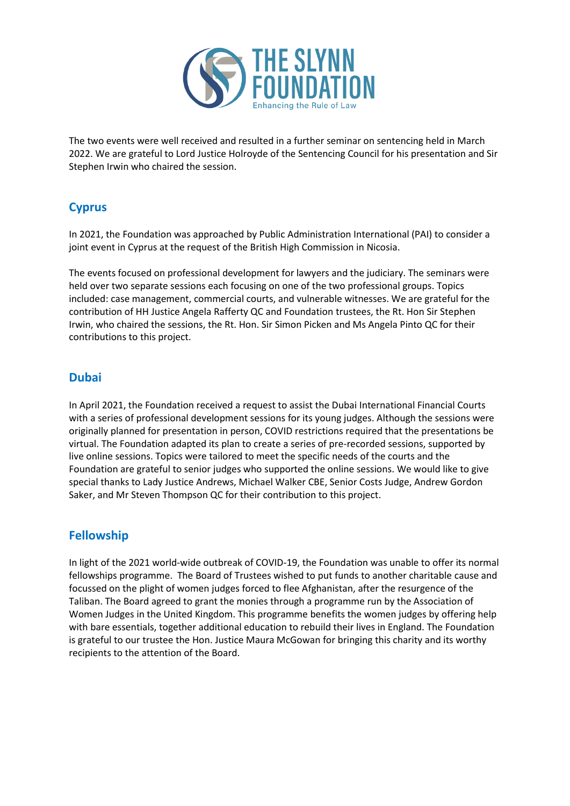

The two events were well received and resulted in a further seminar on sentencing held in March 2022. We are grateful to Lord Justice Holroyde of the Sentencing Council for his presentation and Sir Stephen Irwin who chaired the session.

### **Cyprus**

In 2021, the Foundation was approached by Public Administration International (PAI) to consider a joint event in Cyprus at the request of the British High Commission in Nicosia.

The events focused on professional development for lawyers and the judiciary. The seminars were held over two separate sessions each focusing on one of the two professional groups. Topics included: case management, commercial courts, and vulnerable witnesses. We are grateful for the contribution of HH Justice Angela Rafferty QC and Foundation trustees, the Rt. Hon Sir Stephen Irwin, who chaired the sessions, the Rt. Hon. Sir Simon Picken and Ms Angela Pinto QC for their contributions to this project.

#### **Dubai**

In April 2021, the Foundation received a request to assist the Dubai International Financial Courts with a series of professional development sessions for its young judges. Although the sessions were originally planned for presentation in person, COVID restrictions required that the presentations be virtual. The Foundation adapted its plan to create a series of pre-recorded sessions, supported by live online sessions. Topics were tailored to meet the specific needs of the courts and the Foundation are grateful to senior judges who supported the online sessions. We would like to give special thanks to Lady Justice Andrews, Michael Walker CBE, Senior Costs Judge, Andrew Gordon Saker, and Mr Steven Thompson QC for their contribution to this project.

#### **Fellowship**

In light of the 2021 world-wide outbreak of COVID-19, the Foundation was unable to offer its normal fellowships programme. The Board of Trustees wished to put funds to another charitable cause and focussed on the plight of women judges forced to flee Afghanistan, after the resurgence of the Taliban. The Board agreed to grant the monies through a programme run by the Association of Women Judges in the United Kingdom. This programme benefits the women judges by offering help with bare essentials, together additional education to rebuild their lives in England. The Foundation is grateful to our trustee the Hon. Justice Maura McGowan for bringing this charity and its worthy recipients to the attention of the Board.